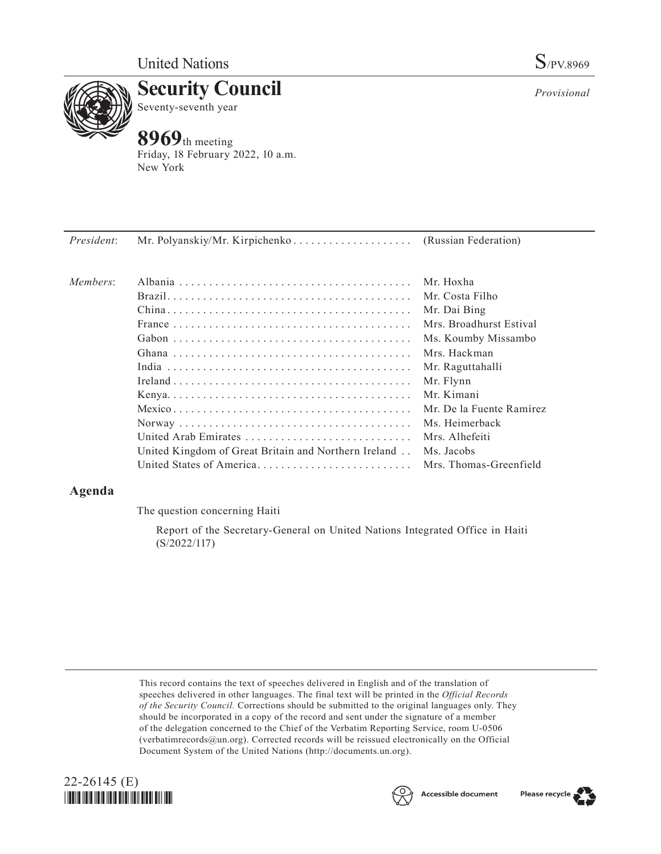

**Security Council** Seventy-seventh year

# **8969**th meeting

Friday, 18 February 2022, 10 a.m. New York

*President*: Mr. Polyanskiy/Mr. Kirpichenko. . . . . . . . . . . . . . . . . . (Russian Federation)

| Members: | United Arab Emirates                                                                                                 | Mr. Hoxha<br>Mr. Costa Filho<br>Mr. Dai Bing<br>Mrs. Broadhurst Estival<br>Ms. Koumby Missambo<br>Mrs. Hackman<br>Mr. Raguttahalli<br>Mr. Flynn<br>Mr. Kimani<br>Mr. De la Fuente Ramírez<br>Mrs. Alhefeiti |
|----------|----------------------------------------------------------------------------------------------------------------------|-------------------------------------------------------------------------------------------------------------------------------------------------------------------------------------------------------------|
|          | United Kingdom of Great Britain and Northern Ireland . Ms. Jacobs<br>United States of America Mrs. Thomas-Greenfield |                                                                                                                                                                                                             |

## **Agenda**

The question concerning Haiti

Report of the Secretary-General on United Nations Integrated Office in Haiti (S/2022/117)

This record contains the text of speeches delivered in English and of the translation of speeches delivered in other languages. The final text will be printed in the *Official Records of the Security Council.* Corrections should be submitted to the original languages only. They should be incorporated in a copy of the record and sent under the signature of a member of the delegation concerned to the Chief of the Verbatim Reporting Service, room U-0506 (verbatimrecords@un.org). Corrected records will be reissued electronically on the Official Document System of the United Nations (http://documents.un.org).







*Provisional*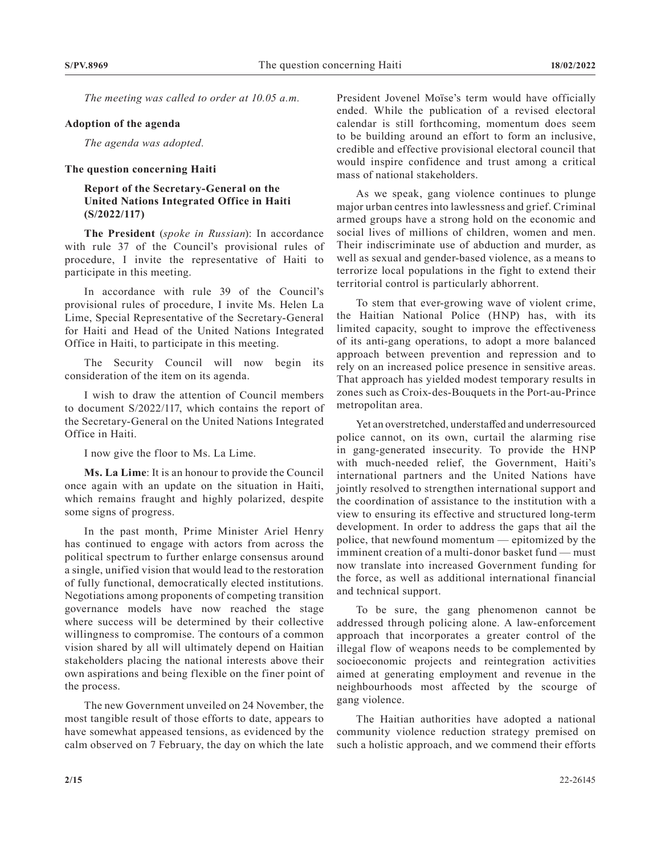*The meeting was called to order at 10.05 a.m.*

#### **Adoption of the agenda**

*The agenda was adopted.*

## **The question concerning Haiti**

### **Report of the Secretary-General on the United Nations Integrated Office in Haiti (S/2022/117)**

**The President** (*spoke in Russian*): In accordance with rule 37 of the Council's provisional rules of procedure, I invite the representative of Haiti to participate in this meeting.

In accordance with rule 39 of the Council's provisional rules of procedure, I invite Ms. Helen La Lime, Special Representative of the Secretary-General for Haiti and Head of the United Nations Integrated Office in Haiti, to participate in this meeting.

The Security Council will now begin its consideration of the item on its agenda.

I wish to draw the attention of Council members to document S/2022/117, which contains the report of the Secretary-General on the United Nations Integrated Office in Haiti.

I now give the floor to Ms. La Lime.

**Ms. La Lime**: It is an honour to provide the Council once again with an update on the situation in Haiti, which remains fraught and highly polarized, despite some signs of progress.

In the past month, Prime Minister Ariel Henry has continued to engage with actors from across the political spectrum to further enlarge consensus around a single, unified vision that would lead to the restoration of fully functional, democratically elected institutions. Negotiations among proponents of competing transition governance models have now reached the stage where success will be determined by their collective willingness to compromise. The contours of a common vision shared by all will ultimately depend on Haitian stakeholders placing the national interests above their own aspirations and being flexible on the finer point of the process.

The new Government unveiled on 24 November, the most tangible result of those efforts to date, appears to have somewhat appeased tensions, as evidenced by the calm observed on 7 February, the day on which the late President Jovenel Moïse's term would have officially ended. While the publication of a revised electoral calendar is still forthcoming, momentum does seem to be building around an effort to form an inclusive, credible and effective provisional electoral council that would inspire confidence and trust among a critical mass of national stakeholders.

As we speak, gang violence continues to plunge major urban centres into lawlessness and grief. Criminal armed groups have a strong hold on the economic and social lives of millions of children, women and men. Their indiscriminate use of abduction and murder, as well as sexual and gender-based violence, as a means to terrorize local populations in the fight to extend their territorial control is particularly abhorrent.

To stem that ever-growing wave of violent crime, the Haitian National Police (HNP) has, with its limited capacity, sought to improve the effectiveness of its anti-gang operations, to adopt a more balanced approach between prevention and repression and to rely on an increased police presence in sensitive areas. That approach has yielded modest temporary results in zones such as Croix-des-Bouquets in the Port-au-Prince metropolitan area.

Yet an overstretched, understaffed and underresourced police cannot, on its own, curtail the alarming rise in gang-generated insecurity. To provide the HNP with much-needed relief, the Government, Haiti's international partners and the United Nations have jointly resolved to strengthen international support and the coordination of assistance to the institution with a view to ensuring its effective and structured long-term development. In order to address the gaps that ail the police, that newfound momentum — epitomized by the imminent creation of a multi-donor basket fund — must now translate into increased Government funding for the force, as well as additional international financial and technical support.

To be sure, the gang phenomenon cannot be addressed through policing alone. A law-enforcement approach that incorporates a greater control of the illegal flow of weapons needs to be complemented by socioeconomic projects and reintegration activities aimed at generating employment and revenue in the neighbourhoods most affected by the scourge of gang violence.

The Haitian authorities have adopted a national community violence reduction strategy premised on such a holistic approach, and we commend their efforts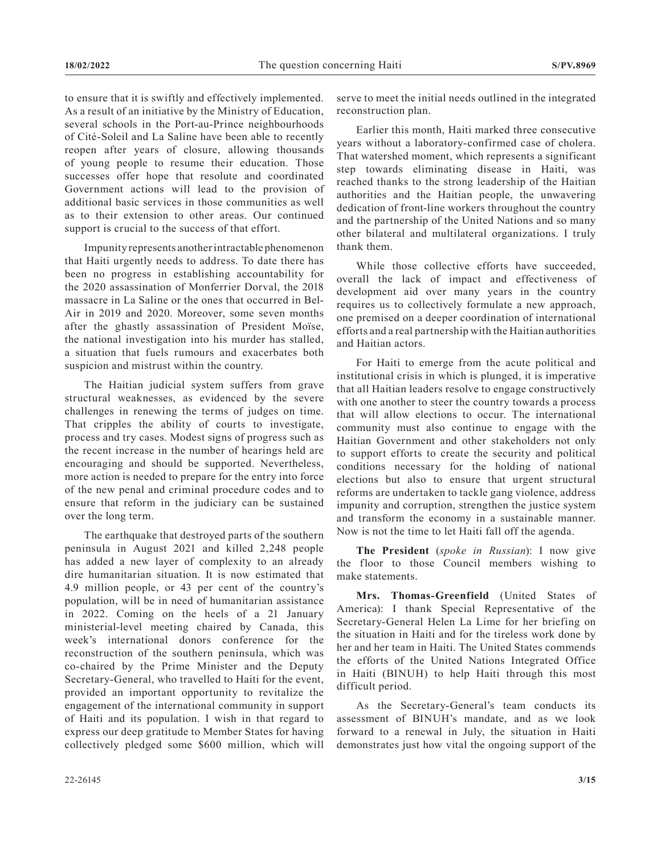to ensure that it is swiftly and effectively implemented. As a result of an initiative by the Ministry of Education, several schools in the Port-au-Prince neighbourhoods of Cité-Soleil and La Saline have been able to recently reopen after years of closure, allowing thousands of young people to resume their education. Those successes offer hope that resolute and coordinated Government actions will lead to the provision of additional basic services in those communities as well as to their extension to other areas. Our continued support is crucial to the success of that effort.

Impunity represents another intractable phenomenon that Haiti urgently needs to address. To date there has been no progress in establishing accountability for the 2020 assassination of Monferrier Dorval, the 2018 massacre in La Saline or the ones that occurred in Bel-Air in 2019 and 2020. Moreover, some seven months after the ghastly assassination of President Moïse, the national investigation into his murder has stalled, a situation that fuels rumours and exacerbates both suspicion and mistrust within the country.

The Haitian judicial system suffers from grave structural weaknesses, as evidenced by the severe challenges in renewing the terms of judges on time. That cripples the ability of courts to investigate, process and try cases. Modest signs of progress such as the recent increase in the number of hearings held are encouraging and should be supported. Nevertheless, more action is needed to prepare for the entry into force of the new penal and criminal procedure codes and to ensure that reform in the judiciary can be sustained over the long term.

The earthquake that destroyed parts of the southern peninsula in August 2021 and killed 2,248 people has added a new layer of complexity to an already dire humanitarian situation. It is now estimated that 4.9 million people, or 43 per cent of the country's population, will be in need of humanitarian assistance in 2022. Coming on the heels of a 21 January ministerial-level meeting chaired by Canada, this week's international donors conference for the reconstruction of the southern peninsula, which was co-chaired by the Prime Minister and the Deputy Secretary-General, who travelled to Haiti for the event, provided an important opportunity to revitalize the engagement of the international community in support of Haiti and its population. I wish in that regard to express our deep gratitude to Member States for having collectively pledged some \$600 million, which will

serve to meet the initial needs outlined in the integrated reconstruction plan.

Earlier this month, Haiti marked three consecutive years without a laboratory-confirmed case of cholera. That watershed moment, which represents a significant step towards eliminating disease in Haiti, was reached thanks to the strong leadership of the Haitian authorities and the Haitian people, the unwavering dedication of front-line workers throughout the country and the partnership of the United Nations and so many other bilateral and multilateral organizations. I truly thank them.

While those collective efforts have succeeded, overall the lack of impact and effectiveness of development aid over many years in the country requires us to collectively formulate a new approach, one premised on a deeper coordination of international efforts and a real partnership with the Haitian authorities and Haitian actors.

For Haiti to emerge from the acute political and institutional crisis in which is plunged, it is imperative that all Haitian leaders resolve to engage constructively with one another to steer the country towards a process that will allow elections to occur. The international community must also continue to engage with the Haitian Government and other stakeholders not only to support efforts to create the security and political conditions necessary for the holding of national elections but also to ensure that urgent structural reforms are undertaken to tackle gang violence, address impunity and corruption, strengthen the justice system and transform the economy in a sustainable manner. Now is not the time to let Haiti fall off the agenda.

**The President** (*spoke in Russian*): I now give the floor to those Council members wishing to make statements.

**Mrs. Thomas-Greenfield** (United States of America): I thank Special Representative of the Secretary-General Helen La Lime for her briefing on the situation in Haiti and for the tireless work done by her and her team in Haiti. The United States commends the efforts of the United Nations Integrated Office in Haiti (BINUH) to help Haiti through this most difficult period.

As the Secretary-General's team conducts its assessment of BINUH's mandate, and as we look forward to a renewal in July, the situation in Haiti demonstrates just how vital the ongoing support of the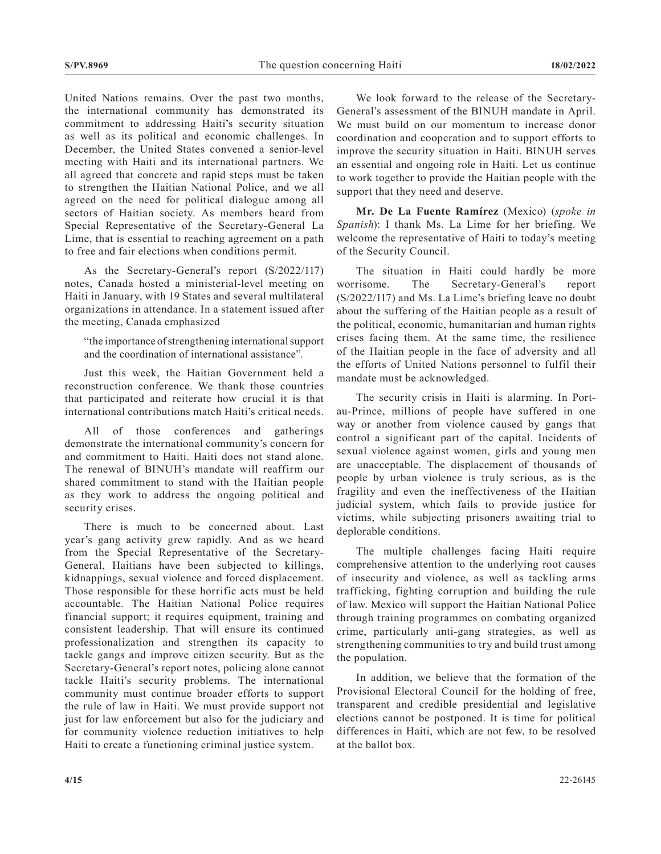United Nations remains. Over the past two months, the international community has demonstrated its commitment to addressing Haiti's security situation as well as its political and economic challenges. In December, the United States convened a senior-level meeting with Haiti and its international partners. We all agreed that concrete and rapid steps must be taken to strengthen the Haitian National Police, and we all agreed on the need for political dialogue among all sectors of Haitian society. As members heard from Special Representative of the Secretary-General La Lime, that is essential to reaching agreement on a path to free and fair elections when conditions permit.

As the Secretary-General's report (S/2022/117) notes, Canada hosted a ministerial-level meeting on Haiti in January, with 19 States and several multilateral organizations in attendance. In a statement issued after the meeting, Canada emphasized

"the importance of strengthening international support and the coordination of international assistance".

Just this week, the Haitian Government held a reconstruction conference. We thank those countries that participated and reiterate how crucial it is that international contributions match Haiti's critical needs.

All of those conferences and gatherings demonstrate the international community's concern for and commitment to Haiti. Haiti does not stand alone. The renewal of BINUH's mandate will reaffirm our shared commitment to stand with the Haitian people as they work to address the ongoing political and security crises.

There is much to be concerned about. Last year's gang activity grew rapidly. And as we heard from the Special Representative of the Secretary-General, Haitians have been subjected to killings, kidnappings, sexual violence and forced displacement. Those responsible for these horrific acts must be held accountable. The Haitian National Police requires financial support; it requires equipment, training and consistent leadership. That will ensure its continued professionalization and strengthen its capacity to tackle gangs and improve citizen security. But as the Secretary-General's report notes, policing alone cannot tackle Haiti's security problems. The international community must continue broader efforts to support the rule of law in Haiti. We must provide support not just for law enforcement but also for the judiciary and for community violence reduction initiatives to help Haiti to create a functioning criminal justice system.

We look forward to the release of the Secretary-General's assessment of the BINUH mandate in April. We must build on our momentum to increase donor coordination and cooperation and to support efforts to improve the security situation in Haiti. BINUH serves an essential and ongoing role in Haiti. Let us continue to work together to provide the Haitian people with the support that they need and deserve.

**Mr. De La Fuente Ramírez** (Mexico) (*spoke in Spanish*): I thank Ms. La Lime for her briefing. We welcome the representative of Haiti to today's meeting of the Security Council.

The situation in Haiti could hardly be more worrisome. The Secretary-General's report (S/2022/117) and Ms. La Lime's briefing leave no doubt about the suffering of the Haitian people as a result of the political, economic, humanitarian and human rights crises facing them. At the same time, the resilience of the Haitian people in the face of adversity and all the efforts of United Nations personnel to fulfil their mandate must be acknowledged.

The security crisis in Haiti is alarming. In Portau-Prince, millions of people have suffered in one way or another from violence caused by gangs that control a significant part of the capital. Incidents of sexual violence against women, girls and young men are unacceptable. The displacement of thousands of people by urban violence is truly serious, as is the fragility and even the ineffectiveness of the Haitian judicial system, which fails to provide justice for victims, while subjecting prisoners awaiting trial to deplorable conditions.

The multiple challenges facing Haiti require comprehensive attention to the underlying root causes of insecurity and violence, as well as tackling arms trafficking, fighting corruption and building the rule of law. Mexico will support the Haitian National Police through training programmes on combating organized crime, particularly anti-gang strategies, as well as strengthening communities to try and build trust among the population.

In addition, we believe that the formation of the Provisional Electoral Council for the holding of free, transparent and credible presidential and legislative elections cannot be postponed. It is time for political differences in Haiti, which are not few, to be resolved at the ballot box.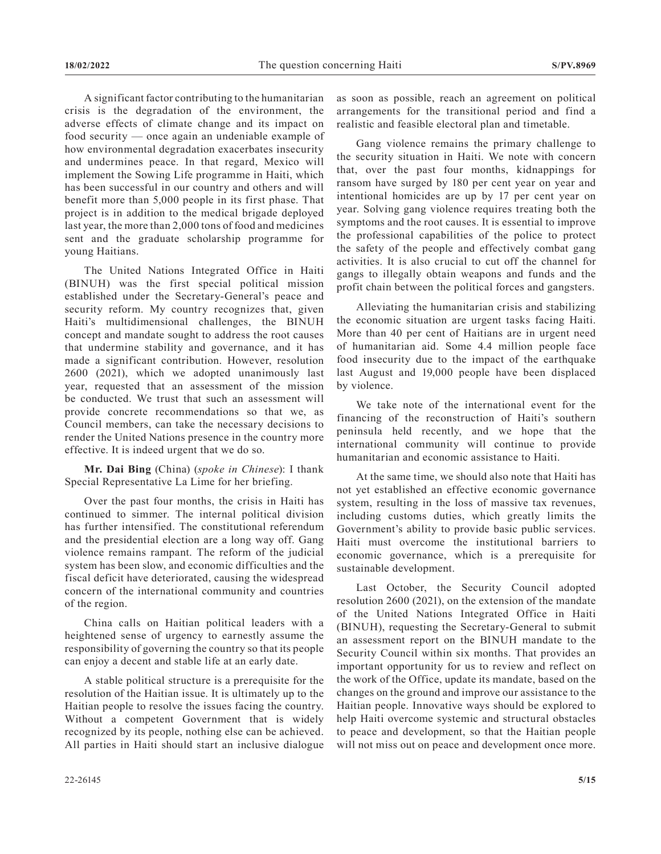A significant factor contributing to the humanitarian crisis is the degradation of the environment, the adverse effects of climate change and its impact on food security — once again an undeniable example of how environmental degradation exacerbates insecurity and undermines peace. In that regard, Mexico will implement the Sowing Life programme in Haiti, which has been successful in our country and others and will benefit more than 5,000 people in its first phase. That project is in addition to the medical brigade deployed last year, the more than 2,000 tons of food and medicines sent and the graduate scholarship programme for young Haitians.

The United Nations Integrated Office in Haiti (BINUH) was the first special political mission established under the Secretary-General's peace and security reform. My country recognizes that, given Haiti's multidimensional challenges, the BINUH concept and mandate sought to address the root causes that undermine stability and governance, and it has made a significant contribution. However, resolution 2600 (2021), which we adopted unanimously last year, requested that an assessment of the mission be conducted. We trust that such an assessment will provide concrete recommendations so that we, as Council members, can take the necessary decisions to render the United Nations presence in the country more effective. It is indeed urgent that we do so.

**Mr. Dai Bing** (China) (*spoke in Chinese*): I thank Special Representative La Lime for her briefing.

Over the past four months, the crisis in Haiti has continued to simmer. The internal political division has further intensified. The constitutional referendum and the presidential election are a long way off. Gang violence remains rampant. The reform of the judicial system has been slow, and economic difficulties and the fiscal deficit have deteriorated, causing the widespread concern of the international community and countries of the region.

China calls on Haitian political leaders with a heightened sense of urgency to earnestly assume the responsibility of governing the country so that its people can enjoy a decent and stable life at an early date.

A stable political structure is a prerequisite for the resolution of the Haitian issue. It is ultimately up to the Haitian people to resolve the issues facing the country. Without a competent Government that is widely recognized by its people, nothing else can be achieved. All parties in Haiti should start an inclusive dialogue

Gang violence remains the primary challenge to the security situation in Haiti. We note with concern that, over the past four months, kidnappings for ransom have surged by 180 per cent year on year and intentional homicides are up by 17 per cent year on year. Solving gang violence requires treating both the symptoms and the root causes. It is essential to improve the professional capabilities of the police to protect the safety of the people and effectively combat gang activities. It is also crucial to cut off the channel for gangs to illegally obtain weapons and funds and the profit chain between the political forces and gangsters.

Alleviating the humanitarian crisis and stabilizing the economic situation are urgent tasks facing Haiti. More than 40 per cent of Haitians are in urgent need of humanitarian aid. Some 4.4 million people face food insecurity due to the impact of the earthquake last August and 19,000 people have been displaced by violence.

We take note of the international event for the financing of the reconstruction of Haiti's southern peninsula held recently, and we hope that the international community will continue to provide humanitarian and economic assistance to Haiti.

At the same time, we should also note that Haiti has not yet established an effective economic governance system, resulting in the loss of massive tax revenues, including customs duties, which greatly limits the Government's ability to provide basic public services. Haiti must overcome the institutional barriers to economic governance, which is a prerequisite for sustainable development.

Last October, the Security Council adopted resolution 2600 (2021), on the extension of the mandate of the United Nations Integrated Office in Haiti (BINUH), requesting the Secretary-General to submit an assessment report on the BINUH mandate to the Security Council within six months. That provides an important opportunity for us to review and reflect on the work of the Office, update its mandate, based on the changes on the ground and improve our assistance to the Haitian people. Innovative ways should be explored to help Haiti overcome systemic and structural obstacles to peace and development, so that the Haitian people will not miss out on peace and development once more.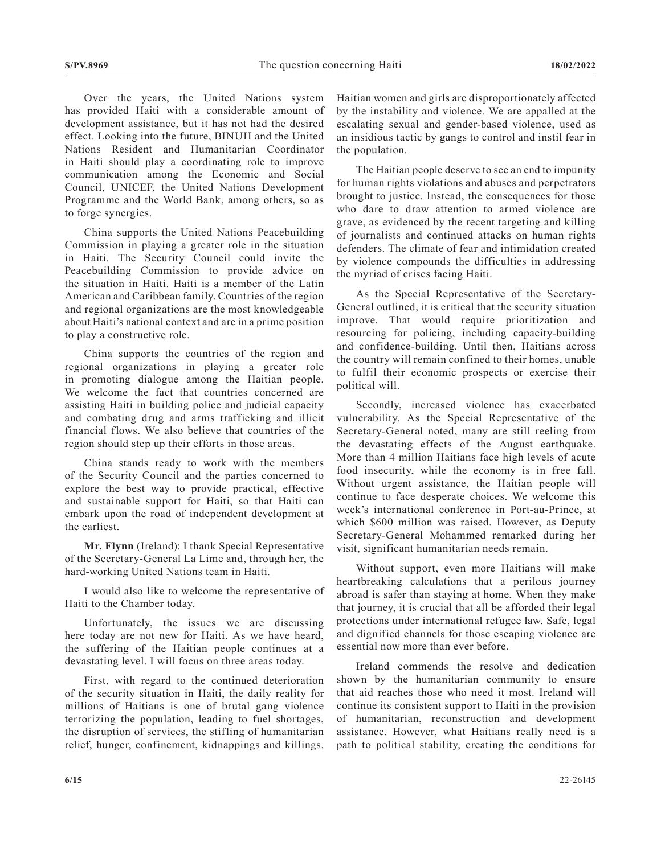Over the years, the United Nations system has provided Haiti with a considerable amount of development assistance, but it has not had the desired effect. Looking into the future, BINUH and the United Nations Resident and Humanitarian Coordinator in Haiti should play a coordinating role to improve communication among the Economic and Social Council, UNICEF, the United Nations Development Programme and the World Bank, among others, so as to forge synergies.

China supports the United Nations Peacebuilding Commission in playing a greater role in the situation in Haiti. The Security Council could invite the Peacebuilding Commission to provide advice on the situation in Haiti. Haiti is a member of the Latin American and Caribbean family. Countries of the region and regional organizations are the most knowledgeable about Haiti's national context and are in a prime position to play a constructive role.

China supports the countries of the region and regional organizations in playing a greater role in promoting dialogue among the Haitian people. We welcome the fact that countries concerned are assisting Haiti in building police and judicial capacity and combating drug and arms trafficking and illicit financial flows. We also believe that countries of the region should step up their efforts in those areas.

China stands ready to work with the members of the Security Council and the parties concerned to explore the best way to provide practical, effective and sustainable support for Haiti, so that Haiti can embark upon the road of independent development at the earliest.

**Mr. Flynn** (Ireland): I thank Special Representative of the Secretary-General La Lime and, through her, the hard-working United Nations team in Haiti.

I would also like to welcome the representative of Haiti to the Chamber today.

Unfortunately, the issues we are discussing here today are not new for Haiti. As we have heard, the suffering of the Haitian people continues at a devastating level. I will focus on three areas today.

First, with regard to the continued deterioration of the security situation in Haiti, the daily reality for millions of Haitians is one of brutal gang violence terrorizing the population, leading to fuel shortages, the disruption of services, the stifling of humanitarian relief, hunger, confinement, kidnappings and killings.

Haitian women and girls are disproportionately affected by the instability and violence. We are appalled at the escalating sexual and gender-based violence, used as an insidious tactic by gangs to control and instil fear in the population.

The Haitian people deserve to see an end to impunity for human rights violations and abuses and perpetrators brought to justice. Instead, the consequences for those who dare to draw attention to armed violence are grave, as evidenced by the recent targeting and killing of journalists and continued attacks on human rights defenders. The climate of fear and intimidation created by violence compounds the difficulties in addressing the myriad of crises facing Haiti.

As the Special Representative of the Secretary-General outlined, it is critical that the security situation improve. That would require prioritization and resourcing for policing, including capacity-building and confidence-building. Until then, Haitians across the country will remain confined to their homes, unable to fulfil their economic prospects or exercise their political will.

Secondly, increased violence has exacerbated vulnerability. As the Special Representative of the Secretary-General noted, many are still reeling from the devastating effects of the August earthquake. More than 4 million Haitians face high levels of acute food insecurity, while the economy is in free fall. Without urgent assistance, the Haitian people will continue to face desperate choices. We welcome this week's international conference in Port-au-Prince, at which \$600 million was raised. However, as Deputy Secretary-General Mohammed remarked during her visit, significant humanitarian needs remain.

Without support, even more Haitians will make heartbreaking calculations that a perilous journey abroad is safer than staying at home. When they make that journey, it is crucial that all be afforded their legal protections under international refugee law. Safe, legal and dignified channels for those escaping violence are essential now more than ever before.

Ireland commends the resolve and dedication shown by the humanitarian community to ensure that aid reaches those who need it most. Ireland will continue its consistent support to Haiti in the provision of humanitarian, reconstruction and development assistance. However, what Haitians really need is a path to political stability, creating the conditions for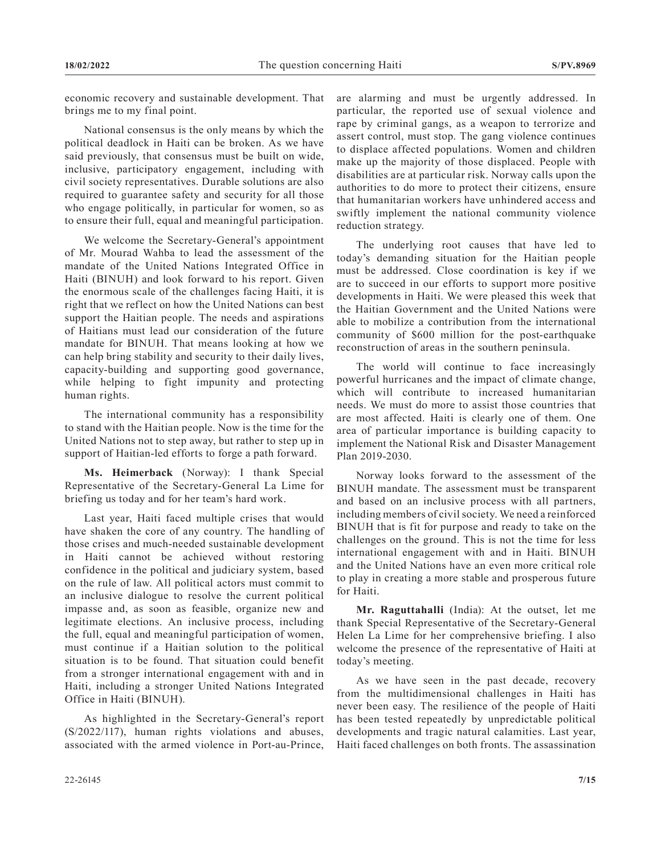economic recovery and sustainable development. That brings me to my final point.

National consensus is the only means by which the political deadlock in Haiti can be broken. As we have said previously, that consensus must be built on wide, inclusive, participatory engagement, including with civil society representatives. Durable solutions are also required to guarantee safety and security for all those who engage politically, in particular for women, so as to ensure their full, equal and meaningful participation.

We welcome the Secretary-General's appointment of Mr. Mourad Wahba to lead the assessment of the mandate of the United Nations Integrated Office in Haiti (BINUH) and look forward to his report. Given the enormous scale of the challenges facing Haiti, it is right that we reflect on how the United Nations can best support the Haitian people. The needs and aspirations of Haitians must lead our consideration of the future mandate for BINUH. That means looking at how we can help bring stability and security to their daily lives, capacity-building and supporting good governance, while helping to fight impunity and protecting human rights.

The international community has a responsibility to stand with the Haitian people. Now is the time for the United Nations not to step away, but rather to step up in support of Haitian-led efforts to forge a path forward.

**Ms. Heimerback** (Norway): I thank Special Representative of the Secretary-General La Lime for briefing us today and for her team's hard work.

Last year, Haiti faced multiple crises that would have shaken the core of any country. The handling of those crises and much-needed sustainable development in Haiti cannot be achieved without restoring confidence in the political and judiciary system, based on the rule of law. All political actors must commit to an inclusive dialogue to resolve the current political impasse and, as soon as feasible, organize new and legitimate elections. An inclusive process, including the full, equal and meaningful participation of women, must continue if a Haitian solution to the political situation is to be found. That situation could benefit from a stronger international engagement with and in Haiti, including a stronger United Nations Integrated Office in Haiti (BINUH).

As highlighted in the Secretary-General's report (S/2022/117), human rights violations and abuses, associated with the armed violence in Port-au-Prince,

are alarming and must be urgently addressed. In particular, the reported use of sexual violence and rape by criminal gangs, as a weapon to terrorize and assert control, must stop. The gang violence continues to displace affected populations. Women and children make up the majority of those displaced. People with disabilities are at particular risk. Norway calls upon the authorities to do more to protect their citizens, ensure that humanitarian workers have unhindered access and swiftly implement the national community violence reduction strategy.

The underlying root causes that have led to today's demanding situation for the Haitian people must be addressed. Close coordination is key if we are to succeed in our efforts to support more positive developments in Haiti. We were pleased this week that the Haitian Government and the United Nations were able to mobilize a contribution from the international community of \$600 million for the post-earthquake reconstruction of areas in the southern peninsula.

The world will continue to face increasingly powerful hurricanes and the impact of climate change, which will contribute to increased humanitarian needs. We must do more to assist those countries that are most affected. Haiti is clearly one of them. One area of particular importance is building capacity to implement the National Risk and Disaster Management Plan 2019-2030.

Norway looks forward to the assessment of the BINUH mandate. The assessment must be transparent and based on an inclusive process with all partners, including members of civil society. We need a reinforced BINUH that is fit for purpose and ready to take on the challenges on the ground. This is not the time for less international engagement with and in Haiti. BINUH and the United Nations have an even more critical role to play in creating a more stable and prosperous future for Haiti.

**Mr. Raguttahalli** (India): At the outset, let me thank Special Representative of the Secretary-General Helen La Lime for her comprehensive briefing. I also welcome the presence of the representative of Haiti at today's meeting.

As we have seen in the past decade, recovery from the multidimensional challenges in Haiti has never been easy. The resilience of the people of Haiti has been tested repeatedly by unpredictable political developments and tragic natural calamities. Last year, Haiti faced challenges on both fronts. The assassination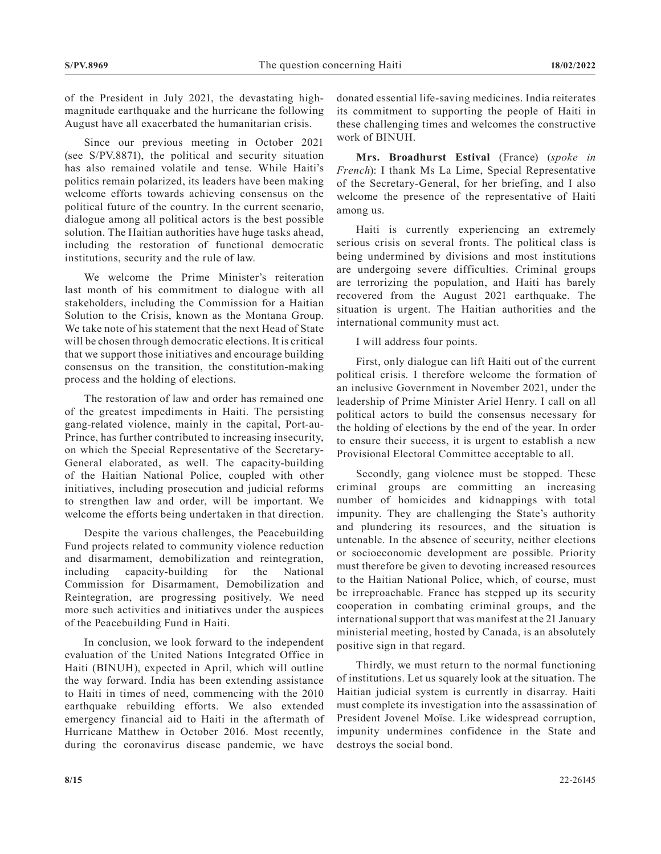of the President in July 2021, the devastating highmagnitude earthquake and the hurricane the following August have all exacerbated the humanitarian crisis.

Since our previous meeting in October 2021 (see S/PV.8871), the political and security situation has also remained volatile and tense. While Haiti's politics remain polarized, its leaders have been making welcome efforts towards achieving consensus on the political future of the country. In the current scenario, dialogue among all political actors is the best possible solution. The Haitian authorities have huge tasks ahead, including the restoration of functional democratic institutions, security and the rule of law.

We welcome the Prime Minister's reiteration last month of his commitment to dialogue with all stakeholders, including the Commission for a Haitian Solution to the Crisis, known as the Montana Group. We take note of his statement that the next Head of State will be chosen through democratic elections. It is critical that we support those initiatives and encourage building consensus on the transition, the constitution-making process and the holding of elections.

The restoration of law and order has remained one of the greatest impediments in Haiti. The persisting gang-related violence, mainly in the capital, Port-au-Prince, has further contributed to increasing insecurity, on which the Special Representative of the Secretary-General elaborated, as well. The capacity-building of the Haitian National Police, coupled with other initiatives, including prosecution and judicial reforms to strengthen law and order, will be important. We welcome the efforts being undertaken in that direction.

Despite the various challenges, the Peacebuilding Fund projects related to community violence reduction and disarmament, demobilization and reintegration, including capacity-building for the National Commission for Disarmament, Demobilization and Reintegration, are progressing positively. We need more such activities and initiatives under the auspices of the Peacebuilding Fund in Haiti.

In conclusion, we look forward to the independent evaluation of the United Nations Integrated Office in Haiti (BINUH), expected in April, which will outline the way forward. India has been extending assistance to Haiti in times of need, commencing with the 2010 earthquake rebuilding efforts. We also extended emergency financial aid to Haiti in the aftermath of Hurricane Matthew in October 2016. Most recently, during the coronavirus disease pandemic, we have

donated essential life-saving medicines. India reiterates its commitment to supporting the people of Haiti in these challenging times and welcomes the constructive work of BINUH.

**Mrs. Broadhurst Estival** (France) (*spoke in French*): I thank Ms La Lime, Special Representative of the Secretary-General, for her briefing, and I also welcome the presence of the representative of Haiti among us.

Haiti is currently experiencing an extremely serious crisis on several fronts. The political class is being undermined by divisions and most institutions are undergoing severe difficulties. Criminal groups are terrorizing the population, and Haiti has barely recovered from the August 2021 earthquake. The situation is urgent. The Haitian authorities and the international community must act.

I will address four points.

First, only dialogue can lift Haiti out of the current political crisis. I therefore welcome the formation of an inclusive Government in November 2021, under the leadership of Prime Minister Ariel Henry. I call on all political actors to build the consensus necessary for the holding of elections by the end of the year. In order to ensure their success, it is urgent to establish a new Provisional Electoral Committee acceptable to all.

Secondly, gang violence must be stopped. These criminal groups are committing an increasing number of homicides and kidnappings with total impunity. They are challenging the State's authority and plundering its resources, and the situation is untenable. In the absence of security, neither elections or socioeconomic development are possible. Priority must therefore be given to devoting increased resources to the Haitian National Police, which, of course, must be irreproachable. France has stepped up its security cooperation in combating criminal groups, and the international support that was manifest at the 21 January ministerial meeting, hosted by Canada, is an absolutely positive sign in that regard.

Thirdly, we must return to the normal functioning of institutions. Let us squarely look at the situation. The Haitian judicial system is currently in disarray. Haiti must complete its investigation into the assassination of President Jovenel Moïse. Like widespread corruption, impunity undermines confidence in the State and destroys the social bond.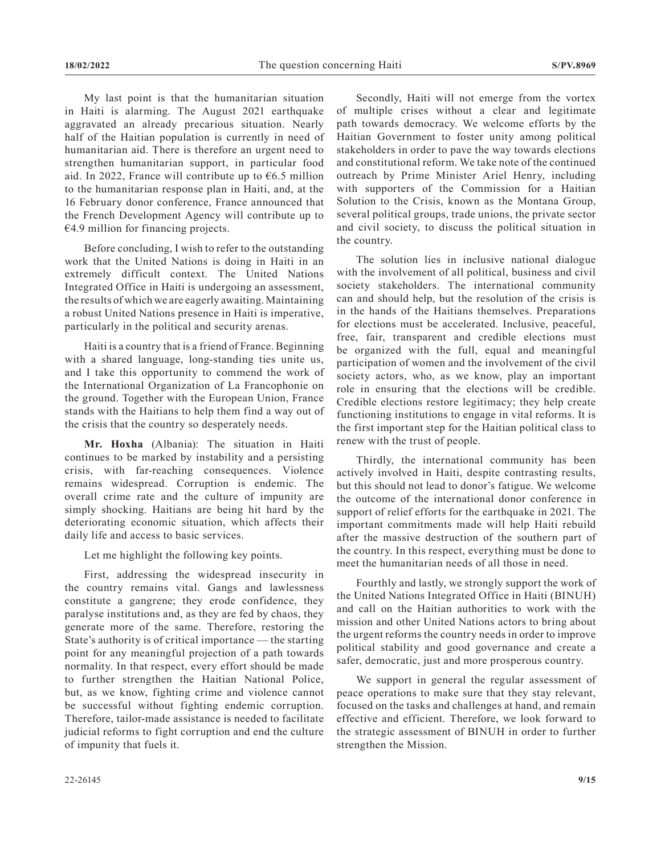My last point is that the humanitarian situation in Haiti is alarming. The August 2021 earthquake aggravated an already precarious situation. Nearly half of the Haitian population is currently in need of humanitarian aid. There is therefore an urgent need to strengthen humanitarian support, in particular food aid. In 2022, France will contribute up to €6.5 million to the humanitarian response plan in Haiti, and, at the 16 February donor conference, France announced that the French Development Agency will contribute up to €4.9 million for financing projects.

Before concluding, I wish to refer to the outstanding work that the United Nations is doing in Haiti in an extremely difficult context. The United Nations Integrated Office in Haiti is undergoing an assessment, the results of which we are eagerly awaiting. Maintaining a robust United Nations presence in Haiti is imperative, particularly in the political and security arenas.

Haiti is a country that is a friend of France. Beginning with a shared language, long-standing ties unite us, and I take this opportunity to commend the work of the International Organization of La Francophonie on the ground. Together with the European Union, France stands with the Haitians to help them find a way out of the crisis that the country so desperately needs.

**Mr. Hoxha** (Albania): The situation in Haiti continues to be marked by instability and a persisting crisis, with far-reaching consequences. Violence remains widespread. Corruption is endemic. The overall crime rate and the culture of impunity are simply shocking. Haitians are being hit hard by the deteriorating economic situation, which affects their daily life and access to basic services.

Let me highlight the following key points.

First, addressing the widespread insecurity in the country remains vital. Gangs and lawlessness constitute a gangrene; they erode confidence, they paralyse institutions and, as they are fed by chaos, they generate more of the same. Therefore, restoring the State's authority is of critical importance — the starting point for any meaningful projection of a path towards normality. In that respect, every effort should be made to further strengthen the Haitian National Police, but, as we know, fighting crime and violence cannot be successful without fighting endemic corruption. Therefore, tailor-made assistance is needed to facilitate judicial reforms to fight corruption and end the culture of impunity that fuels it.

Secondly, Haiti will not emerge from the vortex of multiple crises without a clear and legitimate path towards democracy. We welcome efforts by the Haitian Government to foster unity among political stakeholders in order to pave the way towards elections and constitutional reform. We take note of the continued outreach by Prime Minister Ariel Henry, including with supporters of the Commission for a Haitian Solution to the Crisis, known as the Montana Group, several political groups, trade unions, the private sector and civil society, to discuss the political situation in the country.

The solution lies in inclusive national dialogue with the involvement of all political, business and civil society stakeholders. The international community can and should help, but the resolution of the crisis is in the hands of the Haitians themselves. Preparations for elections must be accelerated. Inclusive, peaceful, free, fair, transparent and credible elections must be organized with the full, equal and meaningful participation of women and the involvement of the civil society actors, who, as we know, play an important role in ensuring that the elections will be credible. Credible elections restore legitimacy; they help create functioning institutions to engage in vital reforms. It is the first important step for the Haitian political class to renew with the trust of people.

Thirdly, the international community has been actively involved in Haiti, despite contrasting results, but this should not lead to donor's fatigue. We welcome the outcome of the international donor conference in support of relief efforts for the earthquake in 2021. The important commitments made will help Haiti rebuild after the massive destruction of the southern part of the country. In this respect, everything must be done to meet the humanitarian needs of all those in need.

Fourthly and lastly, we strongly support the work of the United Nations Integrated Office in Haiti (BINUH) and call on the Haitian authorities to work with the mission and other United Nations actors to bring about the urgent reforms the country needs in order to improve political stability and good governance and create a safer, democratic, just and more prosperous country.

We support in general the regular assessment of peace operations to make sure that they stay relevant, focused on the tasks and challenges at hand, and remain effective and efficient. Therefore, we look forward to the strategic assessment of BINUH in order to further strengthen the Mission.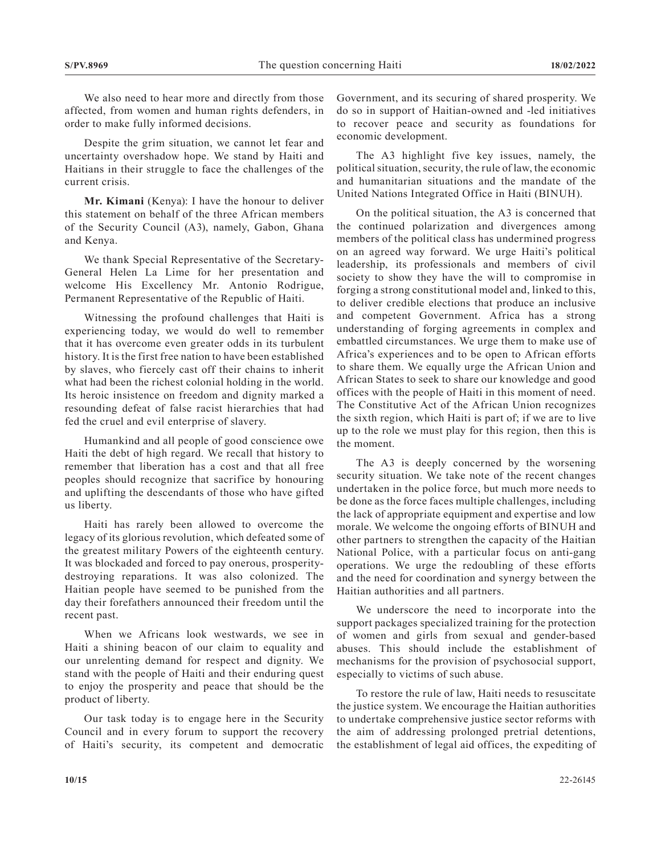We also need to hear more and directly from those affected, from women and human rights defenders, in order to make fully informed decisions.

Despite the grim situation, we cannot let fear and uncertainty overshadow hope. We stand by Haiti and Haitians in their struggle to face the challenges of the current crisis.

**Mr. Kimani** (Kenya): I have the honour to deliver this statement on behalf of the three African members of the Security Council (A3), namely, Gabon, Ghana and Kenya.

We thank Special Representative of the Secretary-General Helen La Lime for her presentation and welcome His Excellency Mr. Antonio Rodrigue, Permanent Representative of the Republic of Haiti.

Witnessing the profound challenges that Haiti is experiencing today, we would do well to remember that it has overcome even greater odds in its turbulent history. It is the first free nation to have been established by slaves, who fiercely cast off their chains to inherit what had been the richest colonial holding in the world. Its heroic insistence on freedom and dignity marked a resounding defeat of false racist hierarchies that had fed the cruel and evil enterprise of slavery.

Humankind and all people of good conscience owe Haiti the debt of high regard. We recall that history to remember that liberation has a cost and that all free peoples should recognize that sacrifice by honouring and uplifting the descendants of those who have gifted us liberty.

Haiti has rarely been allowed to overcome the legacy of its glorious revolution, which defeated some of the greatest military Powers of the eighteenth century. It was blockaded and forced to pay onerous, prosperitydestroying reparations. It was also colonized. The Haitian people have seemed to be punished from the day their forefathers announced their freedom until the recent past.

When we Africans look westwards, we see in Haiti a shining beacon of our claim to equality and our unrelenting demand for respect and dignity. We stand with the people of Haiti and their enduring quest to enjoy the prosperity and peace that should be the product of liberty.

Our task today is to engage here in the Security Council and in every forum to support the recovery of Haiti's security, its competent and democratic

Government, and its securing of shared prosperity. We do so in support of Haitian-owned and -led initiatives to recover peace and security as foundations for economic development.

The A3 highlight five key issues, namely, the political situation, security, the rule of law, the economic and humanitarian situations and the mandate of the United Nations Integrated Office in Haiti (BINUH).

On the political situation, the A3 is concerned that the continued polarization and divergences among members of the political class has undermined progress on an agreed way forward. We urge Haiti's political leadership, its professionals and members of civil society to show they have the will to compromise in forging a strong constitutional model and, linked to this, to deliver credible elections that produce an inclusive and competent Government. Africa has a strong understanding of forging agreements in complex and embattled circumstances. We urge them to make use of Africa's experiences and to be open to African efforts to share them. We equally urge the African Union and African States to seek to share our knowledge and good offices with the people of Haiti in this moment of need. The Constitutive Act of the African Union recognizes the sixth region, which Haiti is part of; if we are to live up to the role we must play for this region, then this is the moment.

The A3 is deeply concerned by the worsening security situation. We take note of the recent changes undertaken in the police force, but much more needs to be done as the force faces multiple challenges, including the lack of appropriate equipment and expertise and low morale. We welcome the ongoing efforts of BINUH and other partners to strengthen the capacity of the Haitian National Police, with a particular focus on anti-gang operations. We urge the redoubling of these efforts and the need for coordination and synergy between the Haitian authorities and all partners.

We underscore the need to incorporate into the support packages specialized training for the protection of women and girls from sexual and gender-based abuses. This should include the establishment of mechanisms for the provision of psychosocial support, especially to victims of such abuse.

To restore the rule of law, Haiti needs to resuscitate the justice system. We encourage the Haitian authorities to undertake comprehensive justice sector reforms with the aim of addressing prolonged pretrial detentions, the establishment of legal aid offices, the expediting of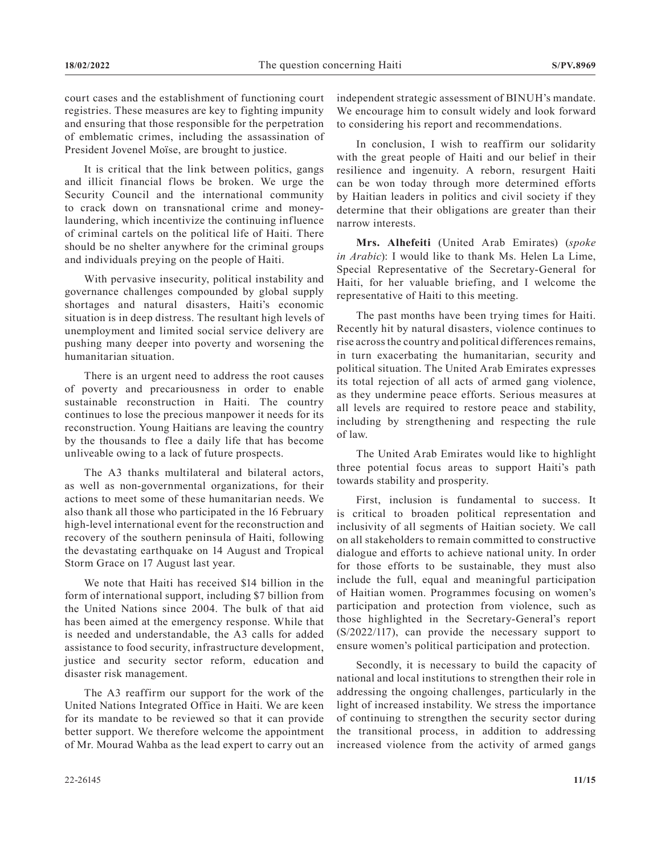court cases and the establishment of functioning court registries. These measures are key to fighting impunity and ensuring that those responsible for the perpetration of emblematic crimes, including the assassination of President Jovenel Moïse, are brought to justice.

It is critical that the link between politics, gangs and illicit financial flows be broken. We urge the Security Council and the international community to crack down on transnational crime and moneylaundering, which incentivize the continuing influence of criminal cartels on the political life of Haiti. There should be no shelter anywhere for the criminal groups and individuals preying on the people of Haiti.

With pervasive insecurity, political instability and governance challenges compounded by global supply shortages and natural disasters, Haiti's economic situation is in deep distress. The resultant high levels of unemployment and limited social service delivery are pushing many deeper into poverty and worsening the humanitarian situation.

There is an urgent need to address the root causes of poverty and precariousness in order to enable sustainable reconstruction in Haiti. The country continues to lose the precious manpower it needs for its reconstruction. Young Haitians are leaving the country by the thousands to flee a daily life that has become unliveable owing to a lack of future prospects.

The A3 thanks multilateral and bilateral actors, as well as non-governmental organizations, for their actions to meet some of these humanitarian needs. We also thank all those who participated in the 16 February high-level international event for the reconstruction and recovery of the southern peninsula of Haiti, following the devastating earthquake on 14 August and Tropical Storm Grace on 17 August last year.

We note that Haiti has received \$14 billion in the form of international support, including \$7 billion from the United Nations since 2004. The bulk of that aid has been aimed at the emergency response. While that is needed and understandable, the A3 calls for added assistance to food security, infrastructure development, justice and security sector reform, education and disaster risk management.

The A3 reaffirm our support for the work of the United Nations Integrated Office in Haiti. We are keen for its mandate to be reviewed so that it can provide better support. We therefore welcome the appointment of Mr. Mourad Wahba as the lead expert to carry out an independent strategic assessment of BINUH's mandate. We encourage him to consult widely and look forward to considering his report and recommendations.

In conclusion, I wish to reaffirm our solidarity with the great people of Haiti and our belief in their resilience and ingenuity. A reborn, resurgent Haiti can be won today through more determined efforts by Haitian leaders in politics and civil society if they determine that their obligations are greater than their narrow interests.

**Mrs. Alhefeiti** (United Arab Emirates) (*spoke in Arabic*): I would like to thank Ms. Helen La Lime, Special Representative of the Secretary-General for Haiti, for her valuable briefing, and I welcome the representative of Haiti to this meeting.

The past months have been trying times for Haiti. Recently hit by natural disasters, violence continues to rise across the country and political differences remains, in turn exacerbating the humanitarian, security and political situation. The United Arab Emirates expresses its total rejection of all acts of armed gang violence, as they undermine peace efforts. Serious measures at all levels are required to restore peace and stability, including by strengthening and respecting the rule of law.

The United Arab Emirates would like to highlight three potential focus areas to support Haiti's path towards stability and prosperity.

First, inclusion is fundamental to success. It is critical to broaden political representation and inclusivity of all segments of Haitian society. We call on all stakeholders to remain committed to constructive dialogue and efforts to achieve national unity. In order for those efforts to be sustainable, they must also include the full, equal and meaningful participation of Haitian women. Programmes focusing on women's participation and protection from violence, such as those highlighted in the Secretary-General's report (S/2022/117), can provide the necessary support to ensure women's political participation and protection.

Secondly, it is necessary to build the capacity of national and local institutions to strengthen their role in addressing the ongoing challenges, particularly in the light of increased instability. We stress the importance of continuing to strengthen the security sector during the transitional process, in addition to addressing increased violence from the activity of armed gangs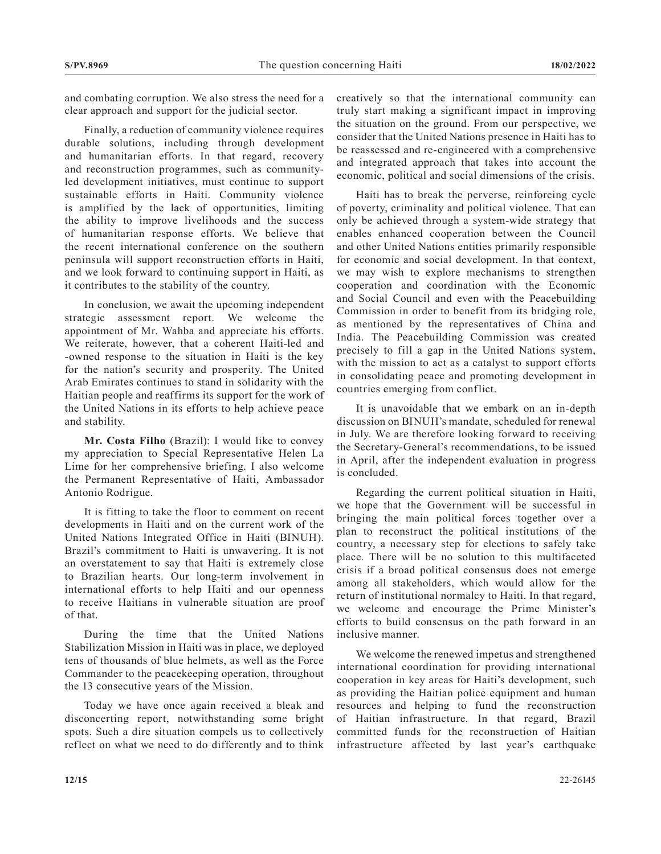and combating corruption. We also stress the need for a clear approach and support for the judicial sector.

Finally, a reduction of community violence requires durable solutions, including through development and humanitarian efforts. In that regard, recovery and reconstruction programmes, such as communityled development initiatives, must continue to support sustainable efforts in Haiti. Community violence is amplified by the lack of opportunities, limiting the ability to improve livelihoods and the success of humanitarian response efforts. We believe that the recent international conference on the southern peninsula will support reconstruction efforts in Haiti, and we look forward to continuing support in Haiti, as it contributes to the stability of the country.

In conclusion, we await the upcoming independent strategic assessment report. We welcome the appointment of Mr. Wahba and appreciate his efforts. We reiterate, however, that a coherent Haiti-led and -owned response to the situation in Haiti is the key for the nation's security and prosperity. The United Arab Emirates continues to stand in solidarity with the Haitian people and reaffirms its support for the work of the United Nations in its efforts to help achieve peace and stability.

**Mr. Costa Filho** (Brazil): I would like to convey my appreciation to Special Representative Helen La Lime for her comprehensive briefing. I also welcome the Permanent Representative of Haiti, Ambassador Antonio Rodrigue.

It is fitting to take the floor to comment on recent developments in Haiti and on the current work of the United Nations Integrated Office in Haiti (BINUH). Brazil's commitment to Haiti is unwavering. It is not an overstatement to say that Haiti is extremely close to Brazilian hearts. Our long-term involvement in international efforts to help Haiti and our openness to receive Haitians in vulnerable situation are proof of that.

During the time that the United Nations Stabilization Mission in Haiti was in place, we deployed tens of thousands of blue helmets, as well as the Force Commander to the peacekeeping operation, throughout the 13 consecutive years of the Mission.

Today we have once again received a bleak and disconcerting report, notwithstanding some bright spots. Such a dire situation compels us to collectively reflect on what we need to do differently and to think creatively so that the international community can truly start making a significant impact in improving the situation on the ground. From our perspective, we consider that the United Nations presence in Haiti has to be reassessed and re-engineered with a comprehensive and integrated approach that takes into account the economic, political and social dimensions of the crisis.

Haiti has to break the perverse, reinforcing cycle of poverty, criminality and political violence. That can only be achieved through a system-wide strategy that enables enhanced cooperation between the Council and other United Nations entities primarily responsible for economic and social development. In that context, we may wish to explore mechanisms to strengthen cooperation and coordination with the Economic and Social Council and even with the Peacebuilding Commission in order to benefit from its bridging role, as mentioned by the representatives of China and India. The Peacebuilding Commission was created precisely to fill a gap in the United Nations system, with the mission to act as a catalyst to support efforts in consolidating peace and promoting development in countries emerging from conflict.

It is unavoidable that we embark on an in-depth discussion on BINUH's mandate, scheduled for renewal in July. We are therefore looking forward to receiving the Secretary-General's recommendations, to be issued in April, after the independent evaluation in progress is concluded.

Regarding the current political situation in Haiti, we hope that the Government will be successful in bringing the main political forces together over a plan to reconstruct the political institutions of the country, a necessary step for elections to safely take place. There will be no solution to this multifaceted crisis if a broad political consensus does not emerge among all stakeholders, which would allow for the return of institutional normalcy to Haiti. In that regard, we welcome and encourage the Prime Minister's efforts to build consensus on the path forward in an inclusive manner.

We welcome the renewed impetus and strengthened international coordination for providing international cooperation in key areas for Haiti's development, such as providing the Haitian police equipment and human resources and helping to fund the reconstruction of Haitian infrastructure. In that regard, Brazil committed funds for the reconstruction of Haitian infrastructure affected by last year's earthquake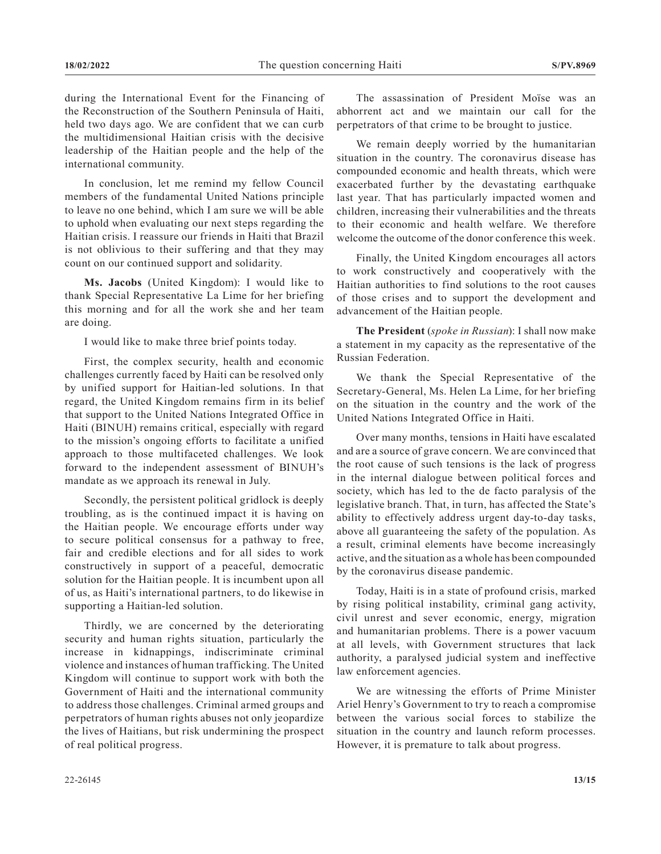during the International Event for the Financing of the Reconstruction of the Southern Peninsula of Haiti, held two days ago. We are confident that we can curb the multidimensional Haitian crisis with the decisive leadership of the Haitian people and the help of the international community.

In conclusion, let me remind my fellow Council members of the fundamental United Nations principle to leave no one behind, which I am sure we will be able to uphold when evaluating our next steps regarding the Haitian crisis. I reassure our friends in Haiti that Brazil is not oblivious to their suffering and that they may count on our continued support and solidarity.

**Ms. Jacobs** (United Kingdom): I would like to thank Special Representative La Lime for her briefing this morning and for all the work she and her team are doing.

I would like to make three brief points today.

First, the complex security, health and economic challenges currently faced by Haiti can be resolved only by unified support for Haitian-led solutions. In that regard, the United Kingdom remains firm in its belief that support to the United Nations Integrated Office in Haiti (BINUH) remains critical, especially with regard to the mission's ongoing efforts to facilitate a unified approach to those multifaceted challenges. We look forward to the independent assessment of BINUH's mandate as we approach its renewal in July.

Secondly, the persistent political gridlock is deeply troubling, as is the continued impact it is having on the Haitian people. We encourage efforts under way to secure political consensus for a pathway to free, fair and credible elections and for all sides to work constructively in support of a peaceful, democratic solution for the Haitian people. It is incumbent upon all of us, as Haiti's international partners, to do likewise in supporting a Haitian-led solution.

Thirdly, we are concerned by the deteriorating security and human rights situation, particularly the increase in kidnappings, indiscriminate criminal violence and instances of human trafficking. The United Kingdom will continue to support work with both the Government of Haiti and the international community to address those challenges. Criminal armed groups and perpetrators of human rights abuses not only jeopardize the lives of Haitians, but risk undermining the prospect of real political progress.

The assassination of President Moïse was an abhorrent act and we maintain our call for the perpetrators of that crime to be brought to justice.

We remain deeply worried by the humanitarian situation in the country. The coronavirus disease has compounded economic and health threats, which were exacerbated further by the devastating earthquake last year. That has particularly impacted women and children, increasing their vulnerabilities and the threats to their economic and health welfare. We therefore welcome the outcome of the donor conference this week.

Finally, the United Kingdom encourages all actors to work constructively and cooperatively with the Haitian authorities to find solutions to the root causes of those crises and to support the development and advancement of the Haitian people.

**The President** (*spoke in Russian*): I shall now make a statement in my capacity as the representative of the Russian Federation.

We thank the Special Representative of the Secretary-General, Ms. Helen La Lime, for her briefing on the situation in the country and the work of the United Nations Integrated Office in Haiti.

Over many months, tensions in Haiti have escalated and are a source of grave concern. We are convinced that the root cause of such tensions is the lack of progress in the internal dialogue between political forces and society, which has led to the de facto paralysis of the legislative branch. That, in turn, has affected the State's ability to effectively address urgent day-to-day tasks, above all guaranteeing the safety of the population. As a result, criminal elements have become increasingly active, and the situation as a whole has been compounded by the coronavirus disease pandemic.

Today, Haiti is in a state of profound crisis, marked by rising political instability, criminal gang activity, civil unrest and sever economic, energy, migration and humanitarian problems. There is a power vacuum at all levels, with Government structures that lack authority, a paralysed judicial system and ineffective law enforcement agencies.

We are witnessing the efforts of Prime Minister Ariel Henry's Government to try to reach a compromise between the various social forces to stabilize the situation in the country and launch reform processes. However, it is premature to talk about progress.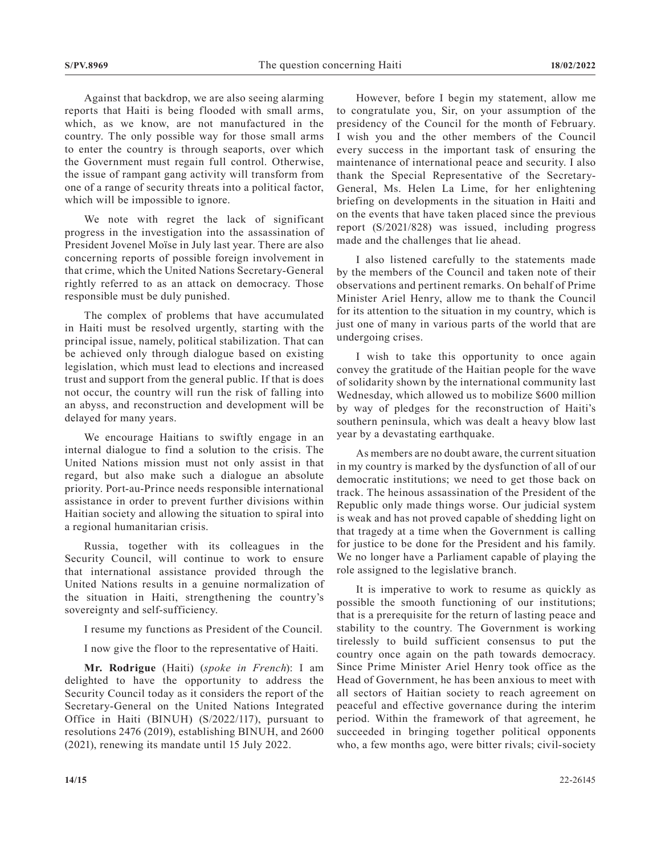Against that backdrop, we are also seeing alarming reports that Haiti is being flooded with small arms, which, as we know, are not manufactured in the country. The only possible way for those small arms to enter the country is through seaports, over which the Government must regain full control. Otherwise, the issue of rampant gang activity will transform from one of a range of security threats into a political factor, which will be impossible to ignore.

We note with regret the lack of significant progress in the investigation into the assassination of President Jovenel Moïse in July last year. There are also concerning reports of possible foreign involvement in that crime, which the United Nations Secretary-General rightly referred to as an attack on democracy. Those responsible must be duly punished.

The complex of problems that have accumulated in Haiti must be resolved urgently, starting with the principal issue, namely, political stabilization. That can be achieved only through dialogue based on existing legislation, which must lead to elections and increased trust and support from the general public. If that is does not occur, the country will run the risk of falling into an abyss, and reconstruction and development will be delayed for many years.

We encourage Haitians to swiftly engage in an internal dialogue to find a solution to the crisis. The United Nations mission must not only assist in that regard, but also make such a dialogue an absolute priority. Port-au-Prince needs responsible international assistance in order to prevent further divisions within Haitian society and allowing the situation to spiral into a regional humanitarian crisis.

Russia, together with its colleagues in the Security Council, will continue to work to ensure that international assistance provided through the United Nations results in a genuine normalization of the situation in Haiti, strengthening the country's sovereignty and self-sufficiency.

I resume my functions as President of the Council.

I now give the floor to the representative of Haiti.

**Mr. Rodrigue** (Haiti) (*spoke in French*): I am delighted to have the opportunity to address the Security Council today as it considers the report of the Secretary-General on the United Nations Integrated Office in Haiti (BINUH) (S/2022/117), pursuant to resolutions 2476 (2019), establishing BINUH, and 2600 (2021), renewing its mandate until 15 July 2022.

However, before I begin my statement, allow me to congratulate you, Sir, on your assumption of the presidency of the Council for the month of February. I wish you and the other members of the Council every success in the important task of ensuring the maintenance of international peace and security. I also thank the Special Representative of the Secretary-General, Ms. Helen La Lime, for her enlightening briefing on developments in the situation in Haiti and on the events that have taken placed since the previous report (S/2021/828) was issued, including progress made and the challenges that lie ahead.

I also listened carefully to the statements made by the members of the Council and taken note of their observations and pertinent remarks. On behalf of Prime Minister Ariel Henry, allow me to thank the Council for its attention to the situation in my country, which is just one of many in various parts of the world that are undergoing crises.

I wish to take this opportunity to once again convey the gratitude of the Haitian people for the wave of solidarity shown by the international community last Wednesday, which allowed us to mobilize \$600 million by way of pledges for the reconstruction of Haiti's southern peninsula, which was dealt a heavy blow last year by a devastating earthquake.

As members are no doubt aware, the current situation in my country is marked by the dysfunction of all of our democratic institutions; we need to get those back on track. The heinous assassination of the President of the Republic only made things worse. Our judicial system is weak and has not proved capable of shedding light on that tragedy at a time when the Government is calling for justice to be done for the President and his family. We no longer have a Parliament capable of playing the role assigned to the legislative branch.

It is imperative to work to resume as quickly as possible the smooth functioning of our institutions; that is a prerequisite for the return of lasting peace and stability to the country. The Government is working tirelessly to build sufficient consensus to put the country once again on the path towards democracy. Since Prime Minister Ariel Henry took office as the Head of Government, he has been anxious to meet with all sectors of Haitian society to reach agreement on peaceful and effective governance during the interim period. Within the framework of that agreement, he succeeded in bringing together political opponents who, a few months ago, were bitter rivals; civil-society